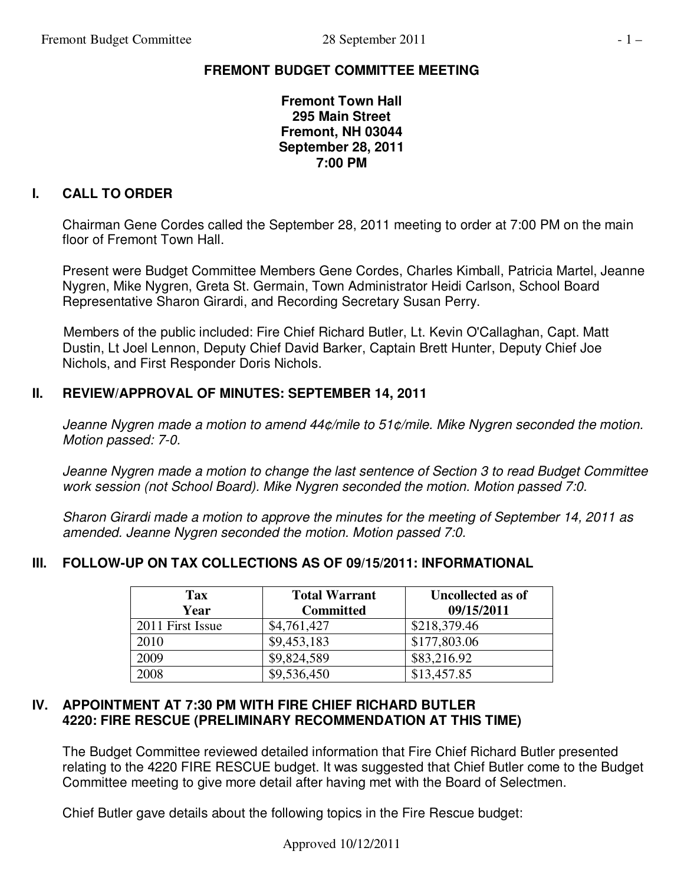# **FREMONT BUDGET COMMITTEE MEETING**

**Fremont Town Hall 295 Main Street Fremont, NH 03044 September 28, 2011 7:00 PM** 

# **I. CALL TO ORDER**

Chairman Gene Cordes called the September 28, 2011 meeting to order at 7:00 PM on the main floor of Fremont Town Hall.

Present were Budget Committee Members Gene Cordes, Charles Kimball, Patricia Martel, Jeanne Nygren, Mike Nygren, Greta St. Germain, Town Administrator Heidi Carlson, School Board Representative Sharon Girardi, and Recording Secretary Susan Perry.

 Members of the public included: Fire Chief Richard Butler, Lt. Kevin O'Callaghan, Capt. Matt Dustin, Lt Joel Lennon, Deputy Chief David Barker, Captain Brett Hunter, Deputy Chief Joe Nichols, and First Responder Doris Nichols.

### **II. REVIEW/APPROVAL OF MINUTES: SEPTEMBER 14, 2011**

*Jeanne Nygren made a motion to amend 44¢/mile to 51¢/mile. Mike Nygren seconded the motion. Motion passed: 7-0.* 

*Jeanne Nygren made a motion to change the last sentence of Section 3 to read Budget Committee work session (not School Board). Mike Nygren seconded the motion. Motion passed 7:0.* 

*Sharon Girardi made a motion to approve the minutes for the meeting of September 14, 2011 as amended. Jeanne Nygren seconded the motion. Motion passed 7:0.* 

# **III. FOLLOW-UP ON TAX COLLECTIONS AS OF 09/15/2011: INFORMATIONAL**

| <b>Tax</b><br>Year | <b>Total Warrant</b><br><b>Committed</b> | Uncollected as of<br>09/15/2011 |
|--------------------|------------------------------------------|---------------------------------|
| 2011 First Issue   | \$4,761,427                              | \$218,379.46                    |
| 2010               | \$9,453,183                              | \$177,803.06                    |
| 2009               | \$9,824,589                              | \$83,216.92                     |
| 2008               | \$9,536,450                              | \$13,457.85                     |

#### **IV. APPOINTMENT AT 7:30 PM WITH FIRE CHIEF RICHARD BUTLER 4220: FIRE RESCUE (PRELIMINARY RECOMMENDATION AT THIS TIME)**

The Budget Committee reviewed detailed information that Fire Chief Richard Butler presented relating to the 4220 FIRE RESCUE budget. It was suggested that Chief Butler come to the Budget Committee meeting to give more detail after having met with the Board of Selectmen.

Chief Butler gave details about the following topics in the Fire Rescue budget: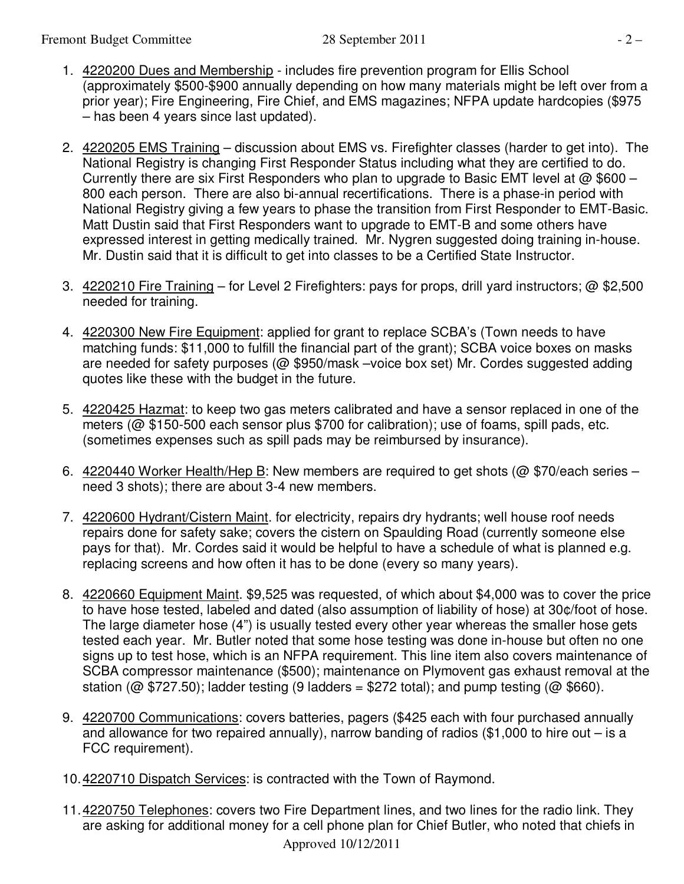- 1. 4220200 Dues and Membership includes fire prevention program for Ellis School (approximately \$500-\$900 annually depending on how many materials might be left over from a prior year); Fire Engineering, Fire Chief, and EMS magazines; NFPA update hardcopies (\$975 – has been 4 years since last updated).
- 2. 4220205 EMS Training discussion about EMS vs. Firefighter classes (harder to get into). The National Registry is changing First Responder Status including what they are certified to do. Currently there are six First Responders who plan to upgrade to Basic EMT level at  $@$  \$600 – 800 each person. There are also bi-annual recertifications. There is a phase-in period with National Registry giving a few years to phase the transition from First Responder to EMT-Basic. Matt Dustin said that First Responders want to upgrade to EMT-B and some others have expressed interest in getting medically trained. Mr. Nygren suggested doing training in-house. Mr. Dustin said that it is difficult to get into classes to be a Certified State Instructor.
- 3. 4220210 Fire Training for Level 2 Firefighters: pays for props, drill yard instructors; @ \$2,500 needed for training.
- 4. 4220300 New Fire Equipment: applied for grant to replace SCBA's (Town needs to have matching funds: \$11,000 to fulfill the financial part of the grant); SCBA voice boxes on masks are needed for safety purposes (@ \$950/mask –voice box set) Mr. Cordes suggested adding quotes like these with the budget in the future.
- 5. 4220425 Hazmat: to keep two gas meters calibrated and have a sensor replaced in one of the meters (@ \$150-500 each sensor plus \$700 for calibration); use of foams, spill pads, etc. (sometimes expenses such as spill pads may be reimbursed by insurance).
- 6. 4220440 Worker Health/Hep B: New members are required to get shots (@ \$70/each series need 3 shots); there are about 3-4 new members.
- 7. 4220600 Hydrant/Cistern Maint. for electricity, repairs dry hydrants; well house roof needs repairs done for safety sake; covers the cistern on Spaulding Road (currently someone else pays for that). Mr. Cordes said it would be helpful to have a schedule of what is planned e.g. replacing screens and how often it has to be done (every so many years).
- 8. 4220660 Equipment Maint. \$9,525 was requested, of which about \$4,000 was to cover the price to have hose tested, labeled and dated (also assumption of liability of hose) at 30¢/foot of hose. The large diameter hose (4") is usually tested every other year whereas the smaller hose gets tested each year. Mr. Butler noted that some hose testing was done in-house but often no one signs up to test hose, which is an NFPA requirement. This line item also covers maintenance of SCBA compressor maintenance (\$500); maintenance on Plymovent gas exhaust removal at the station ( $@$  \$727.50); ladder testing (9 ladders = \$272 total); and pump testing ( $@$  \$660).
- 9. 4220700 Communications: covers batteries, pagers (\$425 each with four purchased annually and allowance for two repaired annually), narrow banding of radios (\$1,000 to hire out – is a FCC requirement).
- 10. 4220710 Dispatch Services: is contracted with the Town of Raymond.
- Approved 10/12/2011 11.4220750 Telephones: covers two Fire Department lines, and two lines for the radio link. They are asking for additional money for a cell phone plan for Chief Butler, who noted that chiefs in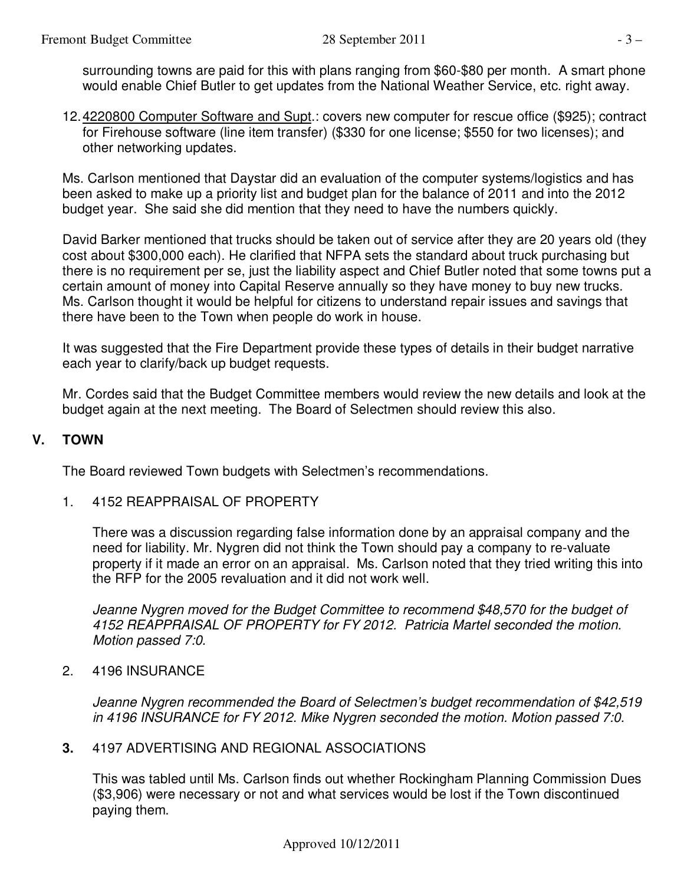surrounding towns are paid for this with plans ranging from \$60-\$80 per month. A smart phone would enable Chief Butler to get updates from the National Weather Service, etc. right away.

12. 4220800 Computer Software and Supt.: covers new computer for rescue office (\$925); contract for Firehouse software (line item transfer) (\$330 for one license; \$550 for two licenses); and other networking updates.

Ms. Carlson mentioned that Daystar did an evaluation of the computer systems/logistics and has been asked to make up a priority list and budget plan for the balance of 2011 and into the 2012 budget year. She said she did mention that they need to have the numbers quickly.

David Barker mentioned that trucks should be taken out of service after they are 20 years old (they cost about \$300,000 each). He clarified that NFPA sets the standard about truck purchasing but there is no requirement per se, just the liability aspect and Chief Butler noted that some towns put a certain amount of money into Capital Reserve annually so they have money to buy new trucks. Ms. Carlson thought it would be helpful for citizens to understand repair issues and savings that there have been to the Town when people do work in house.

It was suggested that the Fire Department provide these types of details in their budget narrative each year to clarify/back up budget requests.

Mr. Cordes said that the Budget Committee members would review the new details and look at the budget again at the next meeting. The Board of Selectmen should review this also.

#### **V. TOWN**

The Board reviewed Town budgets with Selectmen's recommendations.

1. 4152 REAPPRAISAL OF PROPERTY

There was a discussion regarding false information done by an appraisal company and the need for liability. Mr. Nygren did not think the Town should pay a company to re-valuate property if it made an error on an appraisal. Ms. Carlson noted that they tried writing this into the RFP for the 2005 revaluation and it did not work well.

*Jeanne Nygren moved for the Budget Committee to recommend \$48,570 for the budget of 4152 REAPPRAISAL OF PROPERTY for FY 2012. Patricia Martel seconded the motion. Motion passed 7:0.* 

2. 4196 INSURANCE

*Jeanne Nygren recommended the Board of Selectmen's budget recommendation of \$42,519 in 4196 INSURANCE for FY 2012. Mike Nygren seconded the motion. Motion passed 7:0.* 

**3.** 4197 ADVERTISING AND REGIONAL ASSOCIATIONS

This was tabled until Ms. Carlson finds out whether Rockingham Planning Commission Dues (\$3,906) were necessary or not and what services would be lost if the Town discontinued paying them.